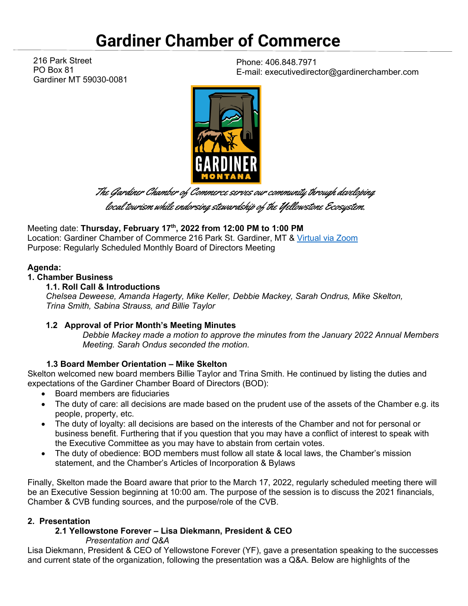# **Gardiner Chamber of Commerce**

216 Park Street PO Box 81 Gardiner MT 59030-0081

Phone: 406.848.7971 E-mail: executivedirector@gardinerchamber.com



The Gardiner Chamber of Commerce serves our community through developing

local tourism while endorsing stewardship of the Yellowstone Ecosystem.

Meeting date: **Thursday, February 17th, 2022 from 12:00 PM to 1:00 PM**  Location: Gardiner Chamber of Commerce 216 Park St. Gardiner, MT & [Virtual via Zoom](https://us02web.zoom.us/j/87417871215) Purpose: Regularly Scheduled Monthly Board of Directors Meeting

# **Agenda:**

#### **1. Chamber Business**

#### **1.1. Roll Call & Introductions**

*Chelsea Deweese, Amanda Hagerty, Mike Keller, Debbie Mackey, Sarah Ondrus, Mike Skelton, Trina Smith, Sabina Strauss, and Billie Taylor*

# **1.2 Approval of Prior Month's Meeting Minutes**

*Debbie Mackey made a motion to approve the minutes from the January 2022 Annual Members Meeting. Sarah Ondus seconded the motion.* 

# **1.3 Board Member Orientation – Mike Skelton**

Skelton welcomed new board members Billie Taylor and Trina Smith. He continued by listing the duties and expectations of the Gardiner Chamber Board of Directors (BOD):

- Board members are fiduciaries
- The duty of care: all decisions are made based on the prudent use of the assets of the Chamber e.g. its people, property, etc.
- The duty of loyalty: all decisions are based on the interests of the Chamber and not for personal or business benefit. Furthering that if you question that you may have a conflict of interest to speak with the Executive Committee as you may have to abstain from certain votes.
- The duty of obedience: BOD members must follow all state & local laws, the Chamber's mission statement, and the Chamber's Articles of Incorporation & Bylaws

Finally, Skelton made the Board aware that prior to the March 17, 2022, regularly scheduled meeting there will be an Executive Session beginning at 10:00 am. The purpose of the session is to discuss the 2021 financials, Chamber & CVB funding sources, and the purpose/role of the CVB.

#### **2. Presentation**

# **2.1 Yellowstone Forever – Lisa Diekmann, President & CEO**

*Presentation and Q&A*

Lisa Diekmann, President & CEO of Yellowstone Forever (YF), gave a presentation speaking to the successes and current state of the organization, following the presentation was a Q&A. Below are highlights of the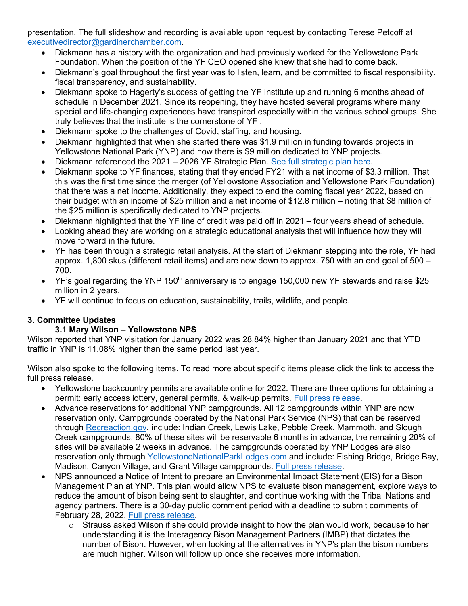presentation. The full slideshow and recording is available upon request by contacting Terese Petcoff at [executivedirector@gardinerchamber.com.](mailto:executivedirector@gardinerchamber.com)

- Diekmann has a history with the organization and had previously worked for the Yellowstone Park Foundation. When the position of the YF CEO opened she knew that she had to come back.
- Diekmann's goal throughout the first year was to listen, learn, and be committed to fiscal responsibility, fiscal transparency, and sustainability.
- Diekmann spoke to Hagerty's success of getting the YF Institute up and running 6 months ahead of schedule in December 2021. Since its reopening, they have hosted several programs where many special and life-changing experiences have transpired especially within the various school groups. She truly believes that the institute is the cornerstone of YF .
- Diekmann spoke to the challenges of Covid, staffing, and housing.
- Diekmann highlighted that when she started there was \$1.9 million in funding towards projects in Yellowstone National Park (YNP) and now there is \$9 million dedicated to YNP projects.
- Diekmann referenced the 2021 2026 YF Strategic Plan. See full [strategic plan here.](chrome-extension://efaidnbmnnnibpcajpcglclefindmkaj/viewer.html?pdfurl=https%3A%2F%2Fgeckodesigns-wpelargefs.s3.amazonaws.com%2Fyellowforever%2Fwp-content%2Fuploads%2F2021%2F07%2FStrategic-Plan-2021-2026_1.pdf&clen=7531335&chunk=true)
- Diekmann spoke to YF finances, stating that they ended FY21 with a net income of \$3.3 million. That this was the first time since the merger (of Yellowstone Association and Yellowstone Park Foundation) that there was a net income. Additionally, they expect to end the coming fiscal year 2022, based on their budget with an income of \$25 million and a net income of \$12.8 million – noting that \$8 million of the \$25 million is specifically dedicated to YNP projects.
- Diekmann highlighted that the YF line of credit was paid off in 2021 four years ahead of schedule.
- Looking ahead they are working on a strategic educational analysis that will influence how they will move forward in the future.
- YF has been through a strategic retail analysis. At the start of Diekmann stepping into the role, YF had approx. 1,800 skus (different retail items) and are now down to approx. 750 with an end goal of 500 – 700.
- YF's goal regarding the YNP 150<sup>th</sup> anniversary is to engage 150,000 new YF stewards and raise \$25 million in 2 years.
- YF will continue to focus on education, sustainability, trails, wildlife, and people.

# **3. Committee Updates**

# **3.1 Mary Wilson – Yellowstone NPS**

Wilson reported that YNP visitation for January 2022 was 28.84% higher than January 2021 and that YTD traffic in YNP is 11.08% higher than the same period last year.

Wilson also spoke to the following items. To read more about specific items please click the link to access the full press release.

- Yellowstone backcountry permits are available online for 2022. There are three options for obtaining a permit: early access lottery, general permits, & walk-up permits. [Full press release.](https://www.nps.gov/yell/learn/news/22004.htm)
- Advance reservations for additional YNP campgrounds. All 12 campgrounds within YNP are now reservation only. Campgrounds operated by the National Park Service (NPS) that can be reserved through [Recreaction.gov,](https://gcc02.safelinks.protection.outlook.com/?url=https%3A%2F%2Fwww.recreation.gov%2Fcamping%2Fgateways%2F2988&data=04%7C01%7CMary_Wilson%40nps.gov%7C5234a4af3d24420ecb7008d9e6b4ad17%7C0693b5ba4b184d7b9341f32f400a5494%7C0%7C0%7C637794485944182445%7CUnknown%7CTWFpbGZsb3d8eyJWIjoiMC4wLjAwMDAiLCJQIjoiV2luMzIiLCJBTiI6Ik1haWwiLCJXVCI6Mn0%3D%7C3000&sdata=nmUC0x60mf43ELblln912SXY5S8krK1%2BycMS8S%2F075Q%3D&reserved=0) include: Indian Creek, Lewis Lake, Pebble Creek, Mammoth, and Slough Creek campgrounds. 80% of these sites will be reservable 6 months in advance, the remaining 20% of sites will be available 2 weeks in advance. The campgrounds operated by YNP Lodges are also reservation only through [YellowstoneNationalParkLodges.com](https://www.yellowstonenationalparklodges.com/stay/camping/) and include: Fishing Bridge, Bridge Bay, Madison, Canyon Village, and Grant Village campgrounds. [Full press release.](https://www.nps.gov/yell/learn/news/22006.htm)
- NPS announced a Notice of Intent to prepare an Environmental Impact Statement (EIS) for a Bison Management Plan at YNP. This plan would allow NPS to evaluate bison management, explore ways to reduce the amount of bison being sent to slaughter, and continue working with the Tribal Nations and agency partners. There is a 30-day public comment period with a deadline to submit comments of February 28, 2022. [Full press release.](https://www.nps.gov/yell/learn/news/22005.htm)
	- $\circ$  Strauss asked Wilson if she could provide insight to how the plan would work, because to her understanding it is the Interagency Bison Management Partners (IMBP) that dictates the number of Bison. However, when looking at the alternatives in YNP's plan the bison numbers are much higher. Wilson will follow up once she receives more information.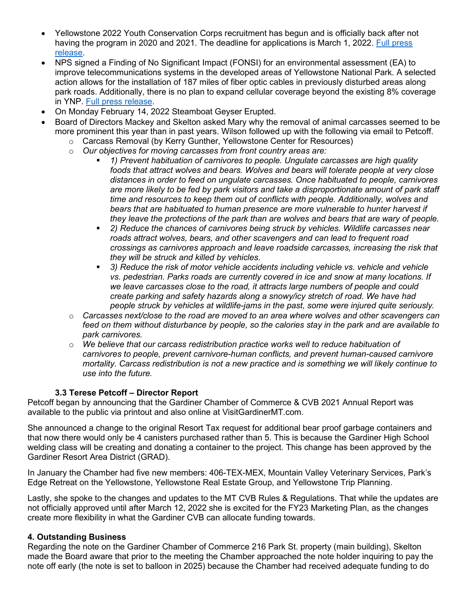- Yellowstone 2022 Youth Conservation Corps recruitment has begun and is officially back after not having the program in 2020 and 2021. The deadline for applications is March 1, 2022. [Full press](https://www.nps.gov/yell/learn/news/yellowstone-recruiting-for-2022-youth-conservation-corps-program.htm)  [release.](https://www.nps.gov/yell/learn/news/yellowstone-recruiting-for-2022-youth-conservation-corps-program.htm)
- NPS signed a Finding of No Significant Impact (FONSI) for an environmental assessment (EA) to improve telecommunications systems in the developed areas of Yellowstone National Park. A selected action allows for the installation of 187 miles of fiber optic cables in previously disturbed areas along park roads. Additionally, there is no plan to expand cellular coverage beyond the existing 8% coverage in YNP. [Full press release.](https://www.nps.gov/yell/learn/news/22008.htm)
- On Monday February 14, 2022 Steamboat Geyser Erupted.
- Board of Directors Mackey and Skelton asked Mary why the removal of animal carcasses seemed to be more prominent this year than in past years. Wilson followed up with the following via email to Petcoff.
	- o Carcass Removal (by Kerry Gunther, Yellowstone Center for Resources)
	- o *Our objectives for moving carcasses from front country areas are:* 
		- *1) Prevent habituation of carnivores to people. Ungulate carcasses are high quality foods that attract wolves and bears. Wolves and bears will tolerate people at very close distances in order to feed on ungulate carcasses. Once habituated to people, carnivores are more likely to be fed by park visitors and take a disproportionate amount of park staff time and resources to keep them out of conflicts with people. Additionally, wolves and bears that are habituated to human presence are more vulnerable to hunter harvest if they leave the protections of the park than are wolves and bears that are wary of people.*
		- **2) Reduce the chances of carnivores being struck by vehicles. Wildlife carcasses near** *roads attract wolves, bears, and other scavengers and can lead to frequent road crossings as carnivores approach and leave roadside carcasses, increasing the risk that they will be struck and killed by vehicles.*
		- *3) Reduce the risk of motor vehicle accidents including vehicle vs. vehicle and vehicle vs. pedestrian. Parks roads are currently covered in ice and snow at many locations. If we leave carcasses close to the road, it attracts large numbers of people and could create parking and safety hazards along a snowy/icy stretch of road. We have had people struck by vehicles at wildlife-jams in the past, some were injured quite seriously.*
	- o *Carcasses next/close to the road are moved to an area where wolves and other scavengers can feed on them without disturbance by people, so the calories stay in the park and are available to park carnivores.*
	- o *We believe that our carcass redistribution practice works well to reduce habituation of carnivores to people, prevent carnivore-human conflicts, and prevent human-caused carnivore mortality. Carcass redistribution is not a new practice and is something we will likely continue to use into the future.*

#### **3.3 Terese Petcoff – Director Report**

Petcoff began by announcing that the Gardiner Chamber of Commerce & CVB 2021 Annual Report was available to the public via printout and also online at VisitGardinerMT.com.

She announced a change to the original Resort Tax request for additional bear proof garbage containers and that now there would only be 4 canisters purchased rather than 5. This is because the Gardiner High School welding class will be creating and donating a container to the project. This change has been approved by the Gardiner Resort Area District (GRAD).

In January the Chamber had five new members: 406-TEX-MEX, Mountain Valley Veterinary Services, Park's Edge Retreat on the Yellowstone, Yellowstone Real Estate Group, and Yellowstone Trip Planning.

Lastly, she spoke to the changes and updates to the MT CVB Rules & Regulations. That while the updates are not officially approved until after March 12, 2022 she is excited for the FY23 Marketing Plan, as the changes create more flexibility in what the Gardiner CVB can allocate funding towards.

#### **4. Outstanding Business**

Regarding the note on the Gardiner Chamber of Commerce 216 Park St. property (main building), Skelton made the Board aware that prior to the meeting the Chamber approached the note holder inquiring to pay the note off early (the note is set to balloon in 2025) because the Chamber had received adequate funding to do